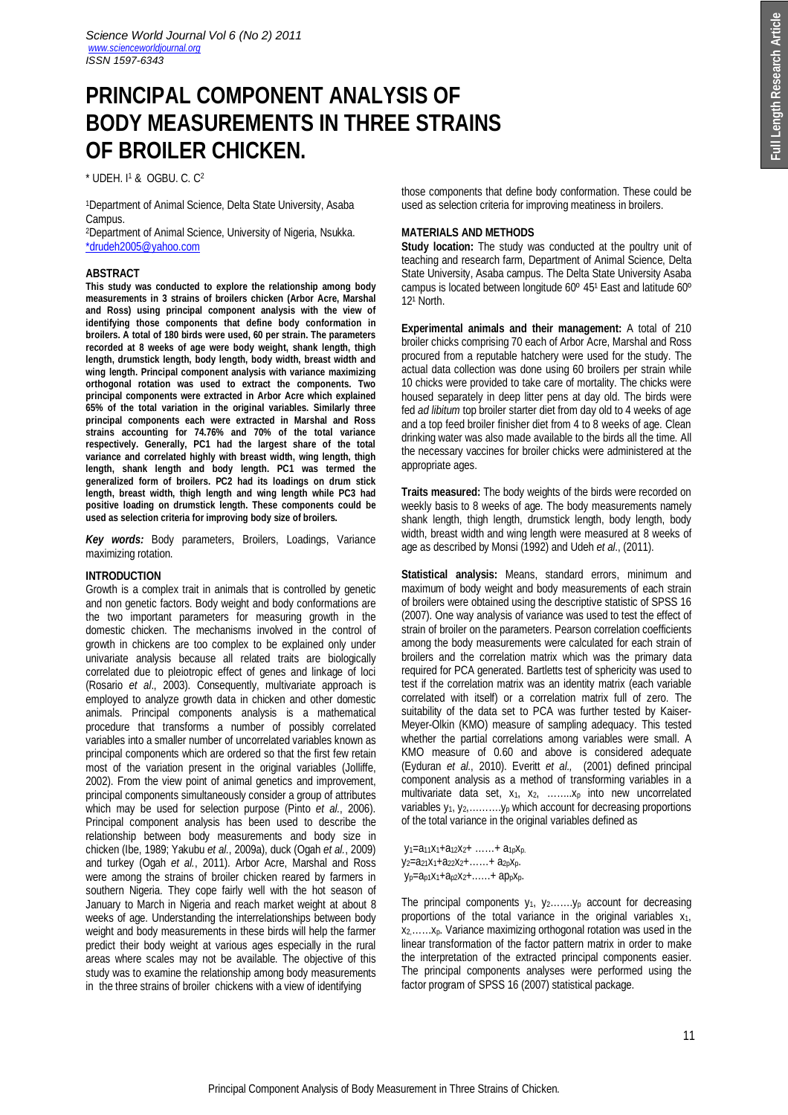# **PRINCIPAL COMPONENT ANALYSIS OF BODY MEASUREMENTS IN THREE STRAINS OF BROILER CHICKEN.**

\* UDEH. I <sup>1</sup> & OGBU. C. C<sup>2</sup>

<sup>1</sup>Department of Animal Science, Delta State University, Asaba Campus.

<sup>2</sup>Department of Animal Science, University of Nigeria, Nsukka. \*drudeh2005@yahoo.com

## **ABSTRACT**

**This study was conducted to explore the relationship among body measurements in 3 strains of broilers chicken (Arbor Acre, Marshal and Ross) using principal component analysis with the view of identifying those components that define body conformation in broilers. A total of 180 birds were used, 60 per strain. The parameters recorded at 8 weeks of age were body weight, shank length, thigh length, drumstick length, body length, body width, breast width and wing length. Principal component analysis with variance maximizing orthogonal rotation was used to extract the components. Two principal components were extracted in Arbor Acre which explained 65% of the total variation in the original variables. Similarly three principal components each were extracted in Marshal and Ross strains accounting for 74.76% and 70% of the total variance respectively. Generally, PC1 had the largest share of the total variance and correlated highly with breast width, wing length, thigh length, shank length and body length. PC1 was termed the generalized form of broilers. PC2 had its loadings on drum stick length, breast width, thigh length and wing length while PC3 had positive loading on drumstick length. These components could be used as selection criteria for improving body size of broilers.**

*Key words:* Body parameters, Broilers, Loadings, Variance maximizing rotation.

## **INTRODUCTION**

Growth is a complex trait in animals that is controlled by genetic and non genetic factors. Body weight and body conformations are the two important parameters for measuring growth in the domestic chicken. The mechanisms involved in the control of growth in chickens are too complex to be explained only under univariate analysis because all related traits are biologically correlated due to pleiotropic effect of genes and linkage of loci (Rosario *et al*., 2003). Consequently, multivariate approach is employed to analyze growth data in chicken and other domestic animals. Principal components analysis is a mathematical procedure that transforms a number of possibly correlated variables into a smaller number of uncorrelated variables known as principal components which are ordered so that the first few retain most of the variation present in the original variables (Jolliffe, 2002). From the view point of animal genetics and improvement, principal components simultaneously consider a group of attributes which may be used for selection purpose (Pinto *et al.*, 2006). Principal component analysis has been used to describe the relationship between body measurements and body size in chicken (Ibe, 1989; Yakubu *et al.*, 2009a), duck (Ogah *et al.*, 2009) and turkey (Ogah *et al.*, 2011). Arbor Acre, Marshal and Ross were among the strains of broiler chicken reared by farmers in southern Nigeria. They cope fairly well with the hot season of January to March in Nigeria and reach market weight at about 8 weeks of age. Understanding the interrelationships between body weight and body measurements in these birds will help the farmer predict their body weight at various ages especially in the rural areas where scales may not be available. The objective of this study was to examine the relationship among body measurements in the three strains of broiler chickens with a view of identifying

those components that define body conformation. These could be used as selection criteria for improving meatiness in broilers.

## **MATERIALS AND METHODS**

**Study location:** The study was conducted at the poultry unit of teaching and research farm, Department of Animal Science, Delta State University, Asaba campus. The Delta State University Asaba campus is located between longitude 60° 451 East and latitude 60°  $12<sup>1</sup>$  North.

**Experimental animals and their management:** A total of 210 broiler chicks comprising 70 each of Arbor Acre, Marshal and Ross procured from a reputable hatchery were used for the study. The actual data collection was done using 60 broilers per strain while 10 chicks were provided to take care of mortality. The chicks were housed separately in deep litter pens at day old. The birds were fed *ad libitum* top broiler starter diet from day old to 4 weeks of age and a top feed broiler finisher diet from 4 to 8 weeks of age. Clean drinking water was also made available to the birds all the time. All the necessary vaccines for broiler chicks were administered at the appropriate ages.

**Traits measured:** The body weights of the birds were recorded on weekly basis to 8 weeks of age. The body measurements namely shank length, thigh length, drumstick length, body length, body width, breast width and wing length were measured at 8 weeks of age as described by Monsi (1992) and Udeh *et al*., (2011).

**Statistical analysis:** Means, standard errors, minimum and maximum of body weight and body measurements of each strain of broilers were obtained using the descriptive statistic of SPSS 16 (2007). One way analysis of variance was used to test the effect of strain of broiler on the parameters. Pearson correlation coefficients among the body measurements were calculated for each strain of broilers and the correlation matrix which was the primary data required for PCA generated. Bartletts test of sphericity was used to test if the correlation matrix was an identity matrix (each variable correlated with itself) or a correlation matrix full of zero. The suitability of the data set to PCA was further tested by Kaiser-Meyer-Olkin (KMO) measure of sampling adequacy. This tested whether the partial correlations among variables were small. A KMO measure of 0.60 and above is considered adequate (Eyduran *et al.*, 2010). Everitt *et al.,* (2001) defined principal component analysis as a method of transforming variables in a multivariate data set,  $x_1$ ,  $x_2$ , ........ $x_p$  into new uncorrelated variables  $y_1, y_2, \ldots, y_p$  which account for decreasing proportions of the total variance in the original variables defined as

y1=a11x1+a12x2+ ……+ a1pxp. y2=a21x1+a22x2+……+ a2pxp.  $y_p = a_p1x_1 + a_p2x_2 + \ldots + a_px_p$ .

The principal components  $y_1$ ,  $y_2$ ....... $y_p$  account for decreasing proportions of the total variance in the original variables  $x_1$ , x2,……xp. Variance maximizing orthogonal rotation was used in the linear transformation of the factor pattern matrix in order to make the interpretation of the extracted principal components easier. The principal components analyses were performed using the factor program of SPSS 16 (2007) statistical package.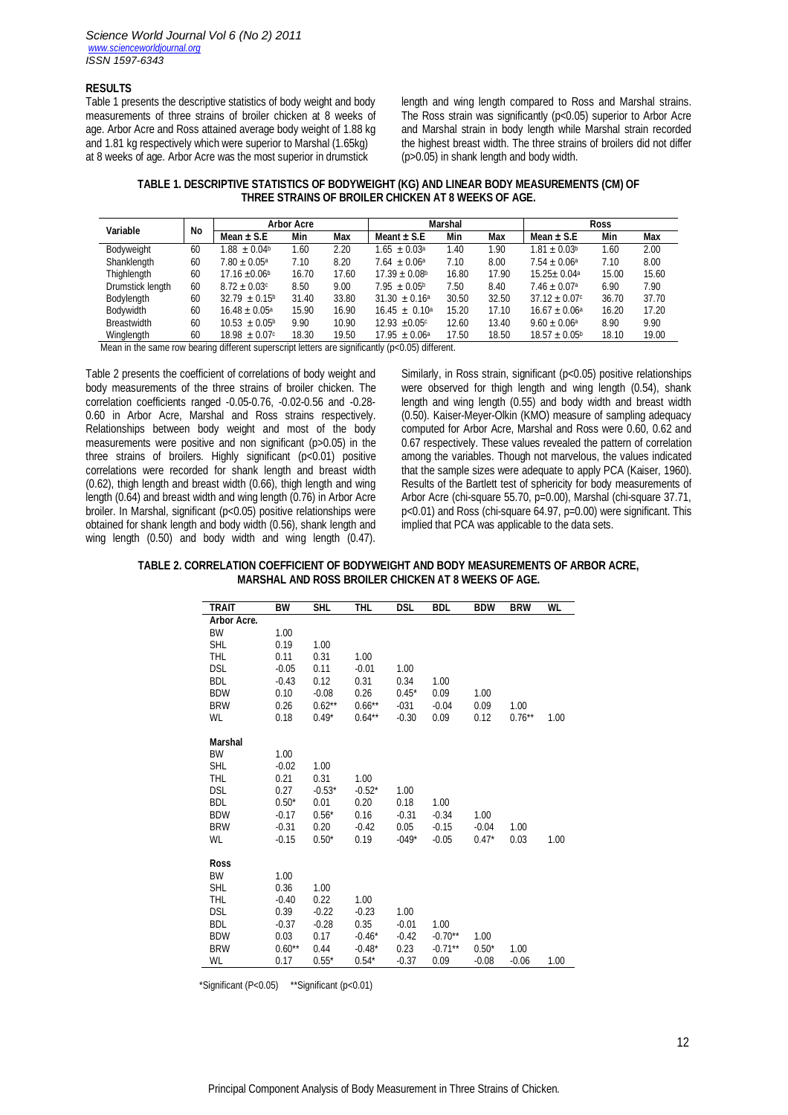#### **RESULTS**

Table 1 presents the descriptive statistics of body weight and body measurements of three strains of broiler chicken at 8 weeks of age. Arbor Acre and Ross attained average body weight of 1.88 kg and 1.81 kg respectively which were superior to Marshal (1.65kg) at 8 weeks of age. Arbor Acre was the most superior in drumstick

length and wing length compared to Ross and Marshal strains. The Ross strain was significantly (p<0.05) superior to Arbor Acre and Marshal strain in body length while Marshal strain recorded the highest breast width. The three strains of broilers did not differ (p>0.05) in shank length and body width.

| TABLE 1. DESCRIPTIVE STATISTICS OF BODYWEIGHT (KG) AND LINEAR BODY MEASUREMENTS (CM) OF |
|-----------------------------------------------------------------------------------------|
| THREE STRAINS OF BROILER CHICKEN AT 8 WEEKS OF AGE.                                     |

| Variable           | <b>No</b> | <b>Arbor Acre</b>            |       |       | Marshal                       |            |                | <b>Ross</b>                  |            |       |
|--------------------|-----------|------------------------------|-------|-------|-------------------------------|------------|----------------|------------------------------|------------|-------|
|                    |           | Mean $\pm$ S.E               | Min   | Max   | Meant $\pm$ S.E.              | Min<br>Max | Mean $\pm$ S.E | Min                          | <b>Max</b> |       |
| Bodyweight         | 60        | $1.88 \pm 0.04$ <sup>b</sup> | 1.60  | 2.20  | $1.65 \pm 0.03^{\circ}$       | 1.40       | .90            | $1.81 + 0.03b$               | 1.60       | 2.00  |
| Shanklength        | 60        | $7.80 + 0.05^{\circ}$        | 7.10  | 8.20  | $7.64 + 0.06a$                | 7.10       | 8.00           | $7.54 + 0.06a$               | 7.10       | 8.00  |
| Thighlength        | 60        | $17.16 + 0.06$               | 16.70 | 17.60 | $17.39 \pm 0.08$ <sup>b</sup> | 16.80      | 17.90          | $15.25 + 0.04a$              | 15.00      | 15.60 |
| Drumstick length   | 60        | $8.72 \pm 0.03$ c            | 8.50  | 9.00  | $7.95 + 0.05^{\circ}$         | 7.50       | 8.40           | $7.46 \pm 0.07$ <sup>a</sup> | 6.90       | 7.90  |
| Bodylength         | 60        | $32.79 \pm 0.15^{\circ}$     | 31.40 | 33.80 | $31.30 \pm 0.16^{\circ}$      | 30.50      | 32.50          | $37.12 \pm 0.07$ c           | 36.70      | 37.70 |
| Bodywidth          | 60        | $16.48 \pm 0.05^{\circ}$     | 15.90 | 16.90 | $16.45 \pm 0.10^{\circ}$      | 15.20      | 17.10          | $16.67 \pm 0.06^{\circ}$     | 16.20      | 17.20 |
| <b>Breastwidth</b> | 60        | $10.53 + 0.05^{\circ}$       | 9.90  | 10.90 | $12.93 + 0.05c$               | 12.60      | 13.40          | $9.60 \pm 0.06^{\circ}$      | 8.90       | 9.90  |
| Winglength         | 60        | $18.98 \pm 0.07$ c           | 18.30 | 19.50 | $17.95 \pm 0.06^{\circ}$      | 17.50      | 18.50          | $18.57 \pm 0.05^{\circ}$     | 18.10      | 19.00 |

Mean in the same row bearing different superscript letters are significantly (p<0.05) different.

Table 2 presents the coefficient of correlations of body weight and body measurements of the three strains of broiler chicken. The correlation coefficients ranged -0.05-0.76, -0.02-0.56 and -0.28- 0.60 in Arbor Acre, Marshal and Ross strains respectively. Relationships between body weight and most of the body measurements were positive and non significant (p>0.05) in the three strains of broilers. Highly significant (p<0.01) positive correlations were recorded for shank length and breast width (0.62), thigh length and breast width (0.66), thigh length and wing length (0.64) and breast width and wing length (0.76) in Arbor Acre broiler. In Marshal, significant (p<0.05) positive relationships were obtained for shank length and body width (0.56), shank length and wing length (0.50) and body width and wing length (0.47).

Similarly, in Ross strain, significant (p<0.05) positive relationships were observed for thigh length and wing length (0.54), shank length and wing length (0.55) and body width and breast width (0.50). Kaiser-Meyer-Olkin (KMO) measure of sampling adequacy computed for Arbor Acre, Marshal and Ross were 0.60, 0.62 and 0.67 respectively. These values revealed the pattern of correlation among the variables. Though not marvelous, the values indicated that the sample sizes were adequate to apply PCA (Kaiser, 1960). Results of the Bartlett test of sphericity for body measurements of Arbor Acre (chi-square 55.70, p=0.00), Marshal (chi-square 37.71, p<0.01) and Ross (chi-square 64.97, p=0.00) were significant. This implied that PCA was applicable to the data sets.

**TABLE 2. CORRELATION COEFFICIENT OF BODYWEIGHT AND BODY MEASUREMENTS OF ARBOR ACRE, MARSHAL AND ROSS BROILER CHICKEN AT 8 WEEKS OF AGE.**

| <b>TRAIT</b>       | BW       | <b>SHL</b> | THL       | <b>DSL</b> | <b>BDL</b> | <b>BDW</b> | <b>BRW</b> | WL   |
|--------------------|----------|------------|-----------|------------|------------|------------|------------|------|
| <b>Arbor Acre.</b> |          |            |           |            |            |            |            |      |
| BW                 | 1.00     |            |           |            |            |            |            |      |
| <b>SHL</b>         | 0.19     | 1.00       |           |            |            |            |            |      |
| THL                | 0.11     | 0.31       | 1.00      |            |            |            |            |      |
| <b>DSL</b>         | $-0.05$  | 0.11       | $-0.01$   | 1.00       |            |            |            |      |
| <b>BDL</b>         | $-0.43$  | 0.12       | 0.31      | 0.34       | 1.00       |            |            |      |
| <b>BDW</b>         | 0.10     | $-0.08$    | 0.26      | $0.45*$    | 0.09       | 1.00       |            |      |
| <b>BRW</b>         | 0.26     | $0.62***$  | $0.66***$ | $-031$     | $-0.04$    | 0.09       | 1.00       |      |
| WL                 | 0.18     | $0.49*$    | $0.64***$ | $-0.30$    | 0.09       | 0.12       | $0.76***$  | 1.00 |
|                    |          |            |           |            |            |            |            |      |
| Marshal<br>BW      | 1.00     |            |           |            |            |            |            |      |
| <b>SHL</b>         | $-0.02$  | 1.00       |           |            |            |            |            |      |
| THL                | 0.21     | 0.31       | 1.00      |            |            |            |            |      |
| <b>DSL</b>         | 0.27     | $-0.53*$   | $-0.52*$  | 1.00       |            |            |            |      |
| <b>BDL</b>         | $0.50*$  | 0.01       | 0.20      | 0.18       | 1.00       |            |            |      |
| <b>BDW</b>         | $-0.17$  | $0.56*$    | 0.16      | $-0.31$    | $-0.34$    | 1.00       |            |      |
| <b>BRW</b>         | $-0.31$  | 0.20       | $-0.42$   | 0.05       | $-0.15$    | $-0.04$    | 1.00       |      |
| WL                 | $-0.15$  | $0.50*$    | 0.19      | $-049*$    | $-0.05$    | $0.47*$    | 0.03       | 1.00 |
|                    |          |            |           |            |            |            |            |      |
| Ross               |          |            |           |            |            |            |            |      |
| BW                 | 1.00     |            |           |            |            |            |            |      |
| <b>SHL</b>         | 0.36     | 1.00       |           |            |            |            |            |      |
| THL                | $-0.40$  | 0.22       | 1.00      |            |            |            |            |      |
| DSL                | 0.39     | $-0.22$    | $-0.23$   | 1.00       |            |            |            |      |
| <b>BDL</b>         | $-0.37$  | $-0.28$    | 0.35      | $-0.01$    | 1.00       |            |            |      |
| <b>BDW</b>         | 0.03     | 0.17       | $-0.46*$  | $-0.42$    | $-0.70**$  | 1.00       |            |      |
| <b>BRW</b>         | $0.60**$ | 0.44       | $-0.48*$  | 0.23       | $-0.71**$  | $0.50*$    | 1.00       |      |
| WL                 | 0.17     | $0.55*$    | $0.54*$   | $-0.37$    | 0.09       | $-0.08$    | $-0.06$    | 1.00 |

\*Significant (P<0.05) \*\*Significant (p<0.01)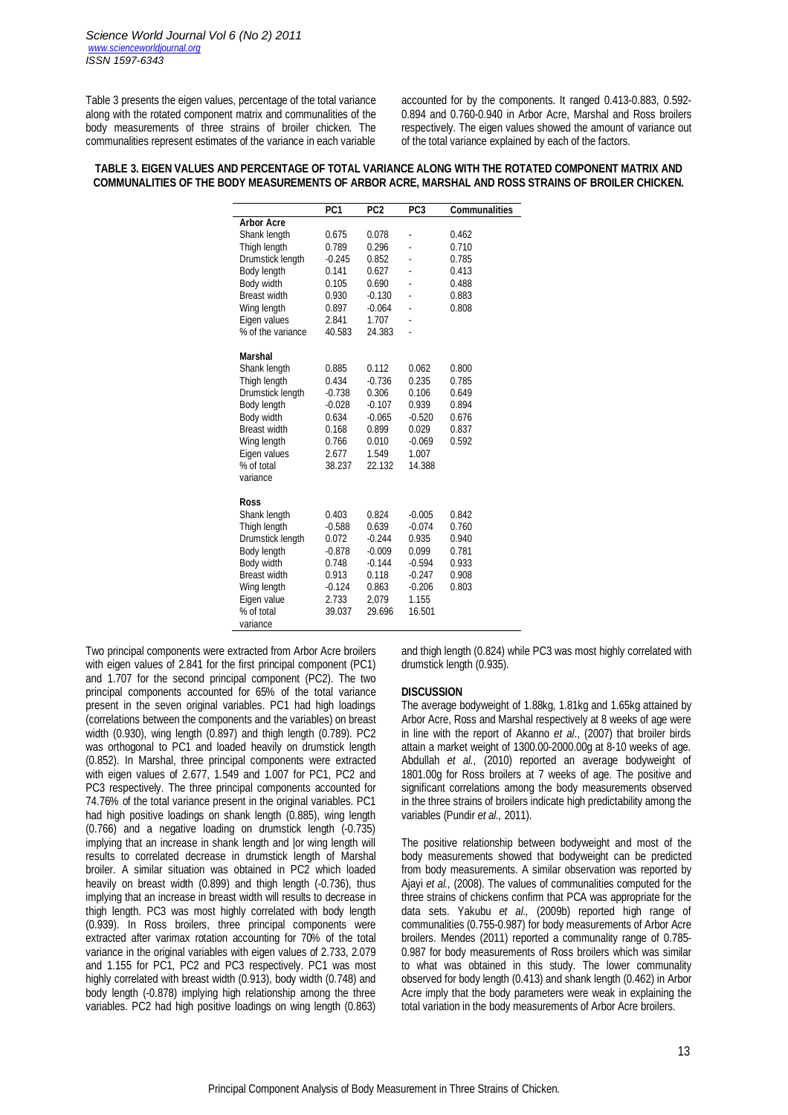Table 3 presents the eigen values, percentage of the total variance along with the rotated component matrix and communalities of the body measurements of three strains of broiler chicken. The communalities represent estimates of the variance in each variable

accounted for by the components. It ranged 0.413-0.883, 0.592- 0.894 and 0.760-0.940 in Arbor Acre, Marshal and Ross broilers respectively. The eigen values showed the amount of variance out of the total variance explained by each of the factors.

## **TABLE 3. EIGEN VALUES AND PERCENTAGE OF TOTAL VARIANCE ALONG WITH THE ROTATED COMPONENT MATRIX AND COMMUNALITIES OF THE BODY MEASUREMENTS OF ARBOR ACRE, MARSHAL AND ROSS STRAINS OF BROILER CHICKEN.**

|                     | PC <sub>1</sub> | PC <sub>2</sub> | PC <sub>3</sub> | <b>Communalities</b> |
|---------------------|-----------------|-----------------|-----------------|----------------------|
| <b>Arbor Acre</b>   |                 |                 |                 |                      |
| Shank length        | 0.675           | 0.078           | ä,              | 0.462                |
| Thigh length        | 0.789           | 0.296           |                 | 0.710                |
| Drumstick length    | $-0.245$        | 0.852           |                 | 0.785                |
| Body length         | 0.141           | 0.627           |                 | 0.413                |
| Body width          | 0.105           | 0.690           |                 | 0.488                |
| <b>Breast width</b> | 0.930           | $-0.130$        |                 | 0.883                |
| Wing length         | 0.897           | $-0.064$        | ÷,              | 0.808                |
| Eigen values        | 2.841           | 1.707           |                 |                      |
| % of the variance   | 40.583          | 24.383          |                 |                      |
| <b>Marshal</b>      |                 |                 |                 |                      |
| Shank length        | 0.885           | 0.112           | 0.062           | 0.800                |
| Thigh length        | 0.434           | $-0.736$        | 0.235           | 0.785                |
| Drumstick length    | $-0.738$        | 0.306           | 0.106           | 0.649                |
| Body length         | $-0.028$        | $-0.107$        | 0.939           | 0.894                |
| Body width          | 0.634           | $-0.065$        | $-0.520$        | 0.676                |
| <b>Breast width</b> | 0.168           | 0.899           | 0.029           | 0.837                |
| Wing length         | 0.766           | 0.010           | $-0.069$        | 0.592                |
| Eigen values        | 2.677           | 1.549           | 1.007           |                      |
| % of total          | 38.237          | 22.132          | 14.388          |                      |
| variance            |                 |                 |                 |                      |
| Ross                |                 |                 |                 |                      |
| Shank length        | 0.403           | 0.824           | $-0.005$        | 0.842                |
| Thigh length        | $-0.588$        | 0.639           | $-0.074$        | 0.760                |
| Drumstick length    | 0.072           | $-0.244$        | 0.935           | 0.940                |
| Body length         | $-0.878$        | $-0.009$        | 0.099           | 0.781                |
| Body width          | 0.748           | $-0.144$        | $-0.594$        | 0.933                |
| <b>Breast width</b> | 0.913           | 0.118           | $-0.247$        | 0.908                |
| Wing length         | $-0.124$        | 0.863           | $-0.206$        | 0.803                |
| Eigen value         | 2.733           | 2,079           | 1.155           |                      |
| % of total          | 39.037          | 29.696          | 16.501          |                      |
| variance            |                 |                 |                 |                      |

Two principal components were extracted from Arbor Acre broilers with eigen values of 2.841 for the first principal component (PC1) and 1.707 for the second principal component (PC2). The two principal components accounted for 65% of the total variance present in the seven original variables. PC1 had high loadings (correlations between the components and the variables) on breast width (0.930), wing length (0.897) and thigh length (0.789). PC2 was orthogonal to PC1 and loaded heavily on drumstick length (0.852). In Marshal, three principal components were extracted with eigen values of 2.677, 1.549 and 1.007 for PC1, PC2 and PC3 respectively. The three principal components accounted for 74.76% of the total variance present in the original variables. PC1 had high positive loadings on shank length (0.885), wing length (0.766) and a negative loading on drumstick length (-0.735) implying that an increase in shank length and |or wing length will results to correlated decrease in drumstick length of Marshal broiler. A similar situation was obtained in PC2 which loaded heavily on breast width (0.899) and thigh length (-0.736), thus implying that an increase in breast width will results to decrease in thigh length. PC3 was most highly correlated with body length (0.939). In Ross broilers, three principal components were extracted after varimax rotation accounting for 70% of the total variance in the original variables with eigen values of 2.733, 2.079 and 1.155 for PC1, PC2 and PC3 respectively. PC1 was most highly correlated with breast width (0.913), body width (0.748) and body length (-0.878) implying high relationship among the three variables. PC2 had high positive loadings on wing length (0.863)

and thigh length (0.824) while PC3 was most highly correlated with drumstick length (0.935).

## **DISCUSSION**

The average bodyweight of 1.88kg, 1.81kg and 1.65kg attained by Arbor Acre, Ross and Marshal respectively at 8 weeks of age were in line with the report of Akanno *et al*., (2007) that broiler birds attain a market weight of 1300.00-2000.00g at 8-10 weeks of age. Abdullah *et al.,* (2010) reported an average bodyweight of 1801.00g for Ross broilers at 7 weeks of age. The positive and significant correlations among the body measurements observed in the three strains of broilers indicate high predictability among the variables (Pundir *et al.,* 2011).

The positive relationship between bodyweight and most of the body measurements showed that bodyweight can be predicted from body measurements. A similar observation was reported by Ajayi *et al.,* (2008). The values of communalities computed for the three strains of chickens confirm that PCA was appropriate for the data sets. Yakubu *et al.,* (2009b) reported high range of communalities (0.755-0.987) for body measurements of Arbor Acre broilers. Mendes (2011) reported a communality range of 0.785- 0.987 for body measurements of Ross broilers which was similar to what was obtained in this study. The lower communality observed for body length (0.413) and shank length (0.462) in Arbor Acre imply that the body parameters were weak in explaining the total variation in the body measurements of Arbor Acre broilers.